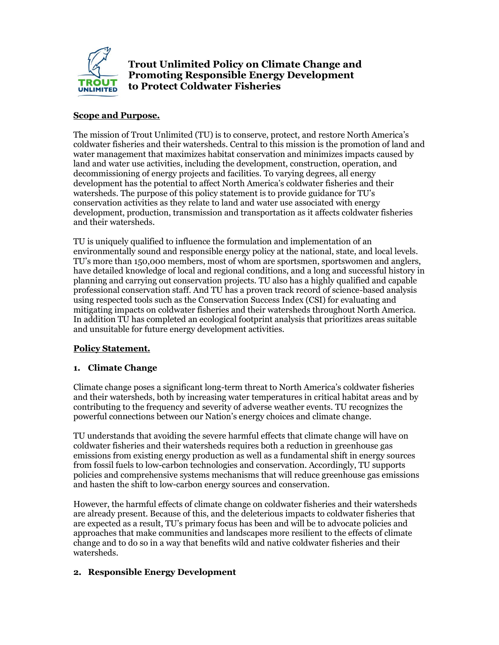

# **Trout Unlimited Policy on Climate Change and Promoting Responsible Energy Development to Protect Coldwater Fisheries**

## **Scope and Purpose.**

The mission of Trout Unlimited (TU) is to conserve, protect, and restore North America's coldwater fisheries and their watersheds. Central to this mission is the promotion of land and water management that maximizes habitat conservation and minimizes impacts caused by land and water use activities, including the development, construction, operation, and decommissioning of energy projects and facilities. To varying degrees, all energy development has the potential to affect North America's coldwater fisheries and their watersheds. The purpose of this policy statement is to provide guidance for TU's conservation activities as they relate to land and water use associated with energy development, production, transmission and transportation as it affects coldwater fisheries and their watersheds.

TU is uniquely qualified to influence the formulation and implementation of an environmentally sound and responsible energy policy at the national, state, and local levels. TU's more than 150,000 members, most of whom are sportsmen, sportswomen and anglers, have detailed knowledge of local and regional conditions, and a long and successful history in planning and carrying out conservation projects. TU also has a highly qualified and capable professional conservation staff. And TU has a proven track record of science-based analysis using respected tools such as the Conservation Success Index (CSI) for evaluating and mitigating impacts on coldwater fisheries and their watersheds throughout North America. In addition TU has completed an ecological footprint analysis that prioritizes areas suitable and unsuitable for future energy development activities.

### **Policy Statement.**

### **1. Climate Change**

Climate change poses a significant long-term threat to North America's coldwater fisheries and their watersheds, both by increasing water temperatures in critical habitat areas and by contributing to the frequency and severity of adverse weather events. TU recognizes the powerful connections between our Nation's energy choices and climate change.

TU understands that avoiding the severe harmful effects that climate change will have on coldwater fisheries and their watersheds requires both a reduction in greenhouse gas emissions from existing energy production as well as a fundamental shift in energy sources from fossil fuels to low-carbon technologies and conservation. Accordingly, TU supports policies and comprehensive systems mechanisms that will reduce greenhouse gas emissions and hasten the shift to low-carbon energy sources and conservation.

However, the harmful effects of climate change on coldwater fisheries and their watersheds are already present. Because of this, and the deleterious impacts to coldwater fisheries that are expected as a result, TU's primary focus has been and will be to advocate policies and approaches that make communities and landscapes more resilient to the effects of climate change and to do so in a way that benefits wild and native coldwater fisheries and their watersheds.

### **2. Responsible Energy Development**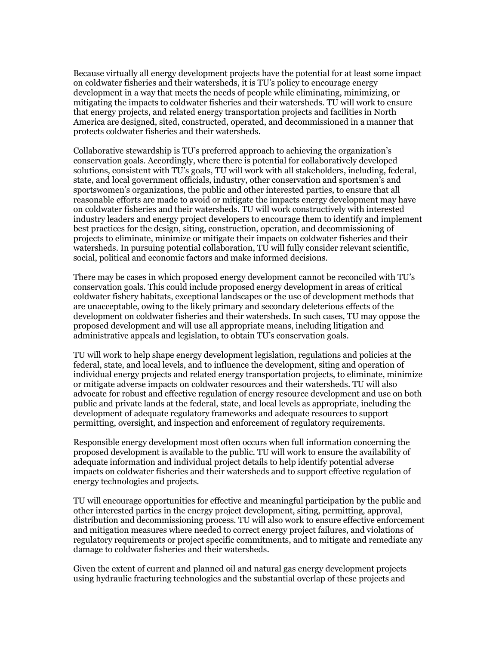Because virtually all energy development projects have the potential for at least some impact on coldwater fisheries and their watersheds, it is TU's policy to encourage energy development in a way that meets the needs of people while eliminating, minimizing, or mitigating the impacts to coldwater fisheries and their watersheds. TU will work to ensure that energy projects, and related energy transportation projects and facilities in North America are designed, sited, constructed, operated, and decommissioned in a manner that protects coldwater fisheries and their watersheds.

Collaborative stewardship is TU's preferred approach to achieving the organization's conservation goals. Accordingly, where there is potential for collaboratively developed solutions, consistent with TU's goals, TU will work with all stakeholders, including, federal, state, and local government officials, industry, other conservation and sportsmen's and sportswomen's organizations, the public and other interested parties, to ensure that all reasonable efforts are made to avoid or mitigate the impacts energy development may have on coldwater fisheries and their watersheds. TU will work constructively with interested industry leaders and energy project developers to encourage them to identify and implement best practices for the design, siting, construction, operation, and decommissioning of projects to eliminate, minimize or mitigate their impacts on coldwater fisheries and their watersheds. In pursuing potential collaboration, TU will fully consider relevant scientific, social, political and economic factors and make informed decisions.

There may be cases in which proposed energy development cannot be reconciled with TU's conservation goals. This could include proposed energy development in areas of critical coldwater fishery habitats, exceptional landscapes or the use of development methods that are unacceptable, owing to the likely primary and secondary deleterious effects of the development on coldwater fisheries and their watersheds. In such cases, TU may oppose the proposed development and will use all appropriate means, including litigation and administrative appeals and legislation, to obtain TU's conservation goals.

TU will work to help shape energy development legislation, regulations and policies at the federal, state, and local levels, and to influence the development, siting and operation of individual energy projects and related energy transportation projects, to eliminate, minimize or mitigate adverse impacts on coldwater resources and their watersheds. TU will also advocate for robust and effective regulation of energy resource development and use on both public and private lands at the federal, state, and local levels as appropriate, including the development of adequate regulatory frameworks and adequate resources to support permitting, oversight, and inspection and enforcement of regulatory requirements.

Responsible energy development most often occurs when full information concerning the proposed development is available to the public. TU will work to ensure the availability of adequate information and individual project details to help identify potential adverse impacts on coldwater fisheries and their watersheds and to support effective regulation of energy technologies and projects.

TU will encourage opportunities for effective and meaningful participation by the public and other interested parties in the energy project development, siting, permitting, approval, distribution and decommissioning process. TU will also work to ensure effective enforcement and mitigation measures where needed to correct energy project failures, and violations of regulatory requirements or project specific commitments, and to mitigate and remediate any damage to coldwater fisheries and their watersheds.

Given the extent of current and planned oil and natural gas energy development projects using hydraulic fracturing technologies and the substantial overlap of these projects and